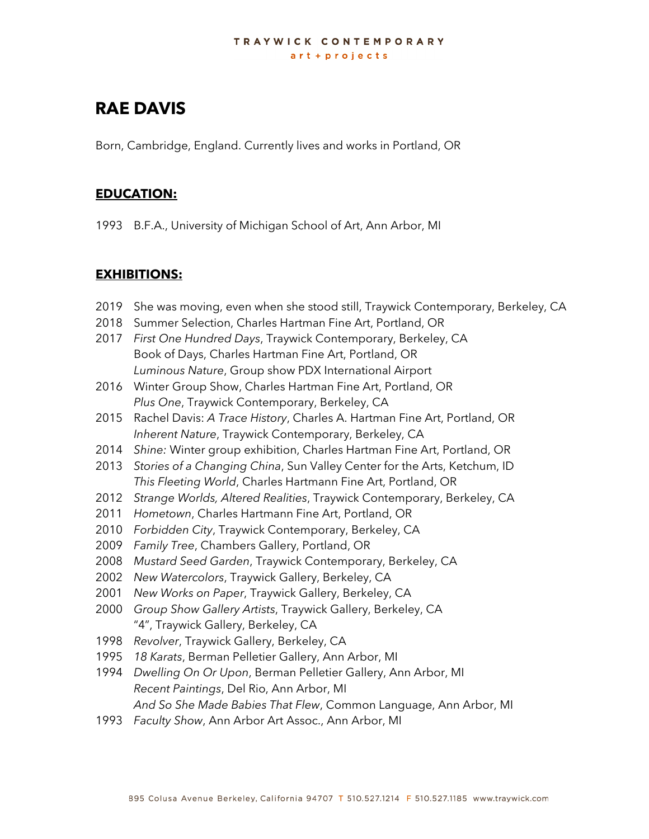#### TRAYWICK CONTEMPORARY art + projects

# **RAE DAVIS**

Born, Cambridge, England. Currently lives and works in Portland, OR

#### **EDUCATION:**

1993 B.F.A., University of Michigan School of Art, Ann Arbor, MI

### **EXHIBITIONS:**

- 2019 She was moving, even when she stood still, Traywick Contemporary, Berkeley, CA
- 2018 Summer Selection, Charles Hartman Fine Art, Portland, OR
- 2017 *First One Hundred Days*, Traywick Contemporary, Berkeley, CA Book of Days, Charles Hartman Fine Art, Portland, OR *Luminous Nature*, Group show PDX International Airport
- 2016 Winter Group Show, Charles Hartman Fine Art, Portland, OR *Plus One*, Traywick Contemporary, Berkeley, CA
- 2015 Rachel Davis: *A Trace History*, Charles A. Hartman Fine Art, Portland, OR *Inherent Nature*, Traywick Contemporary, Berkeley, CA
- 2014 *Shine:* Winter group exhibition, Charles Hartman Fine Art, Portland, OR
- 2013 *Stories of a Changing China*, Sun Valley Center for the Arts, Ketchum, ID *This Fleeting World*, Charles Hartmann Fine Art, Portland, OR
- 2012 *Strange Worlds, Altered Realities*, Traywick Contemporary, Berkeley, CA
- 2011 *Hometown*, Charles Hartmann Fine Art, Portland, OR
- 2010 *Forbidden City*, Traywick Contemporary, Berkeley, CA
- 2009 *Family Tree*, Chambers Gallery, Portland, OR
- 2008 *Mustard Seed Garden*, Traywick Contemporary, Berkeley, CA
- 2002 *New Watercolors*, Traywick Gallery, Berkeley, CA
- 2001 *New Works on Paper*, Traywick Gallery, Berkeley, CA
- 2000 *Group Show Gallery Artists*, Traywick Gallery, Berkeley, CA "4", Traywick Gallery, Berkeley, CA
- 1998 *Revolver*, Traywick Gallery, Berkeley, CA
- 1995 *18 Karats*, Berman Pelletier Gallery, Ann Arbor, MI
- 1994 *Dwelling On Or Upon*, Berman Pelletier Gallery, Ann Arbor, MI *Recent Paintings*, Del Rio, Ann Arbor, MI *And So She Made Babies That Flew*, Common Language, Ann Arbor, MI
- 1993 *Faculty Show*, Ann Arbor Art Assoc., Ann Arbor, MI